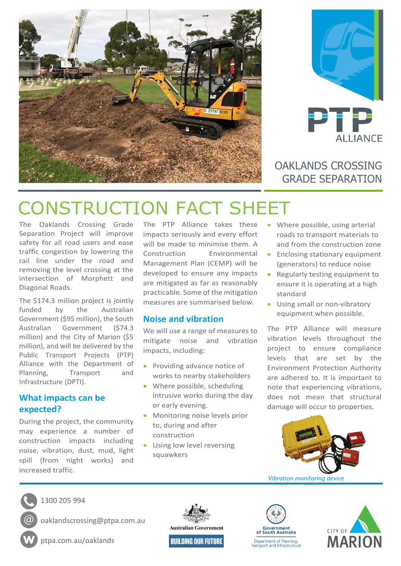



## OAKLANDS CROSSING GRADE SEPARATION

# CONSTRUCTION FACT SHEET

The Oaklands Crossing Grade Separation Project will improve safety for all road users and ease traffic congestion by lowering the rail line under the road and removing the level crossing at the intersection of Morphett and Diagonal Roads.

The \$174.3 million project is jointly funded by the Australian Government (\$95 million), the South Australian Government (\$74.3 million) and the City of Marion (\$5 million), and will be delivered by the Public Transport Projects (PTP) Alliance with the Department of Planning, Transport and Infrastructure (DPTI).

### **What impacts can be expected?**

During the project, the community may experience a number of construction impacts including noise, vibration, dust, mud, light spill (from night works) and increased traffic.

The PTP Alliance takes these impacts seriously and every effort will be made to minimise them. A Construction Environmental Management Plan (CEMP) will be developed to ensure any impacts are mitigated as far as reasonably practicable. Some of the mitigation measures are summarised below.

#### **Noise and vibration**

We will use a range of measures to mitigate noise and vibration impacts, including:

- Providing advance notice of works to nearby stakeholders
- Where possible, scheduling intrusive works during the day or early evening.
- Monitoring noise levels prior to, during and after construction
- Using low level reversing squawkers
- Where possible, using arterial roads to transport materials to and from the construction zone
- Enclosing stationary equipment (generators) to reduce noise
- Regularly testing equipment to ensure it is operating at a high standard
- Using small or non-vibratory equipment when possible.

The PTP Alliance will measure vibration levels throughout the project to ensure compliance levels that are set by the Environment Protection Authority are adhered to. It is important to note that experiencing vibrations, does not mean that structural damage will occur to properties.





1300 205 994

oaklandscrossing@ptpa.com.au

ptpa.com.au/oaklands